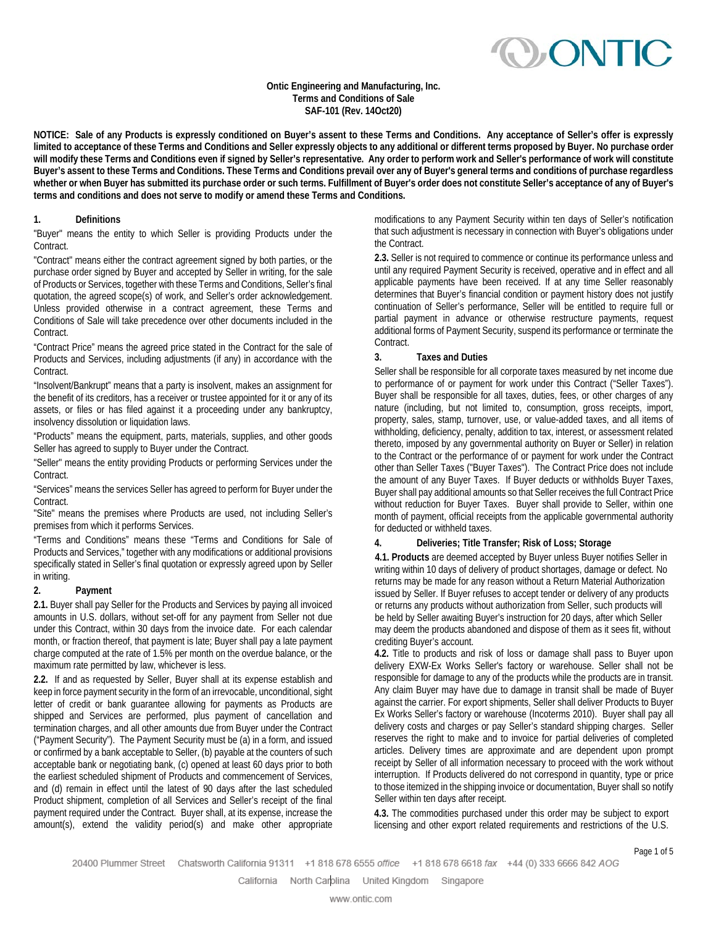**OONTIC** 

#### **Ontic Engineering and Manufacturing, Inc. Terms and Conditions of Sale SAF-101 (Rev. 14Oct20)**

**NOTICE: Sale of any Products is expressly conditioned on Buyer's assent to these Terms and Conditions. Any acceptance of Seller's offer is expressly limited to acceptance of these Terms and Conditions and Seller expressly objects to any additional or different terms proposed by Buyer. No purchase order will modify these Terms and Conditions even if signed by Seller's representative. Any order to perform work and Seller's performance of work will constitute Buyer's assent to these Terms and Conditions. These Terms and Conditions prevail over any of Buyer's general terms and conditions of purchase regardless**  whether or when Buyer has submitted its purchase order or such terms. Fulfillment of Buyer's order does not constitute Seller's acceptance of any of Buyer's **terms and conditions and does not serve to modify or amend these Terms and Conditions.**

### **1. Definitions**

"Buyer" means the entity to which Seller is providing Products under the Contract.

"Contract" means either the contract agreement signed by both parties, or the purchase order signed by Buyer and accepted by Seller in writing, for the sale of Products or Services, together with these Terms and Conditions, Seller's final quotation, the agreed scope(s) of work, and Seller's order acknowledgement. Unless provided otherwise in a contract agreement, these Terms and Conditions of Sale will take precedence over other documents included in the Contract.

"Contract Price" means the agreed price stated in the Contract for the sale of Products and Services, including adjustments (if any) in accordance with the Contract.

"Insolvent/Bankrupt" means that a party is insolvent, makes an assignment for the benefit of its creditors, has a receiver or trustee appointed for it or any of its assets, or files or has filed against it a proceeding under any bankruptcy, insolvency dissolution or liquidation laws.

"Products" means the equipment, parts, materials, supplies, and other goods Seller has agreed to supply to Buyer under the Contract.

"Seller" means the entity providing Products or performing Services under the Contract.

"Services" means the services Seller has agreed to perform for Buyer under the Contract.

"Site" means the premises where Products are used, not including Seller's premises from which it performs Services.

"Terms and Conditions" means these "Terms and Conditions for Sale of Products and Services," together with any modifications or additional provisions specifically stated in Seller's final quotation or expressly agreed upon by Seller in writing.

#### **2. Payment**

**2.1.** Buyer shall pay Seller for the Products and Services by paying all invoiced amounts in U.S. dollars, without set-off for any payment from Seller not due under this Contract, within 30 days from the invoice date. For each calendar month, or fraction thereof, that payment is late; Buyer shall pay a late payment charge computed at the rate of 1.5% per month on the overdue balance, or the maximum rate permitted by law, whichever is less.

**2.2.** If and as requested by Seller, Buyer shall at its expense establish and keep in force payment security in the form of an irrevocable, unconditional, sight letter of credit or bank guarantee allowing for payments as Products are shipped and Services are performed, plus payment of cancellation and termination charges, and all other amounts due from Buyer under the Contract ("Payment Security"). The Payment Security must be (a) in a form, and issued or confirmed by a bank acceptable to Seller, (b) payable at the counters of such acceptable bank or negotiating bank, (c) opened at least 60 days prior to both the earliest scheduled shipment of Products and commencement of Services, and (d) remain in effect until the latest of 90 days after the last scheduled Product shipment, completion of all Services and Seller's receipt of the final payment required under the Contract. Buyer shall, at its expense, increase the amount(s), extend the validity period(s) and make other appropriate

modifications to any Payment Security within ten days of Seller's notification that such adjustment is necessary in connection with Buyer's obligations under the Contract.

**2.3.** Seller is not required to commence or continue its performance unless and until any required Payment Security is received, operative and in effect and all applicable payments have been received. If at any time Seller reasonably determines that Buyer's financial condition or payment history does not justify continuation of Seller's performance, Seller will be entitled to require full or partial payment in advance or otherwise restructure payments, request additional forms of Payment Security, suspend its performance or terminate the Contract.

## **3. Taxes and Duties**

Seller shall be responsible for all corporate taxes measured by net income due to performance of or payment for work under this Contract ("Seller Taxes"). Buyer shall be responsible for all taxes, duties, fees, or other charges of any nature (including, but not limited to, consumption, gross receipts, import, property, sales, stamp, turnover, use, or value-added taxes, and all items of withholding, deficiency, penalty, addition to tax, interest, or assessment related thereto, imposed by any governmental authority on Buyer or Seller) in relation to the Contract or the performance of or payment for work under the Contract other than Seller Taxes ("Buyer Taxes"). The Contract Price does not include the amount of any Buyer Taxes. If Buyer deducts or withholds Buyer Taxes, Buyer shall pay additional amounts so that Seller receives the full Contract Price without reduction for Buyer Taxes. Buyer shall provide to Seller, within one month of payment, official receipts from the applicable governmental authority for deducted or withheld taxes.

#### **4. Deliveries; Title Transfer; Risk of Loss; Storage**

**4.1. Products** are deemed accepted by Buyer unless Buyer notifies Seller in writing within 10 days of delivery of product shortages, damage or defect. No returns may be made for any reason without a Return Material Authorization issued by Seller. If Buyer refuses to accept tender or delivery of any products or returns any products without authorization from Seller, such products will be held by Seller awaiting Buyer's instruction for 20 days, after which Seller may deem the products abandoned and dispose of them as it sees fit, without crediting Buyer's account.

**4.2.** Title to products and risk of loss or damage shall pass to Buyer upon delivery EXW-Ex Works Seller's factory or warehouse. Seller shall not be responsible for damage to any of the products while the products are in transit. Any claim Buyer may have due to damage in transit shall be made of Buyer against the carrier. For export shipments, Seller shall deliver Products to Buyer Ex Works Seller's factory or warehouse (Incoterms 2010). Buyer shall pay all delivery costs and charges or pay Seller's standard shipping charges. Seller reserves the right to make and to invoice for partial deliveries of completed articles. Delivery times are approximate and are dependent upon prompt receipt by Seller of all information necessary to proceed with the work without interruption. If Products delivered do not correspond in quantity, type or price to those itemized in the shipping invoice or documentation, Buyer shall so notify Seller within ten days after receipt.

**4.3.** The commodities purchased under this order may be subject to export licensing and other export related requirements and restrictions of the U.S.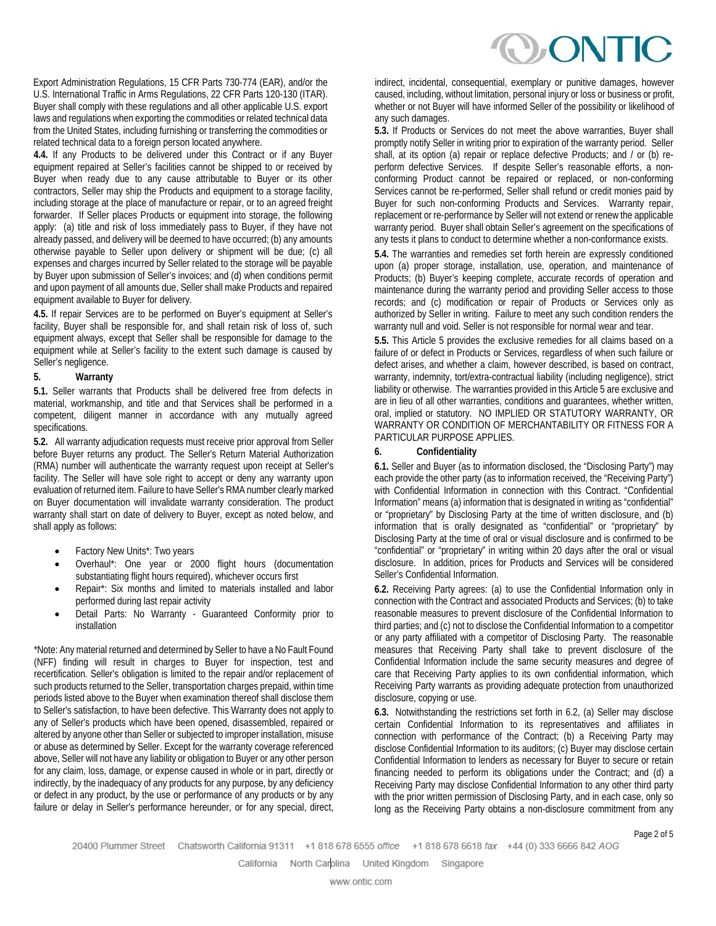Export Administration Regulations, 15 CFR Parts 730-774 (EAR), and/or the U.S. International Traffic in Arms Regulations, 22 CFR Parts 120-130 (ITAR). Buyer shall comply with these regulations and all other applicable U.S. export laws and regulations when exporting the commodities or related technical data from the United States, including furnishing or transferring the commodities or related technical data to a foreign person located anywhere.

**4.4.** If any Products to be delivered under this Contract or if any Buyer equipment repaired at Seller's facilities cannot be shipped to or received by Buyer when ready due to any cause attributable to Buyer or its other contractors, Seller may ship the Products and equipment to a storage facility, including storage at the place of manufacture or repair, or to an agreed freight forwarder. If Seller places Products or equipment into storage, the following apply: (a) title and risk of loss immediately pass to Buyer, if they have not already passed, and delivery will be deemed to have occurred; (b) any amounts otherwise payable to Seller upon delivery or shipment will be due; (c) all expenses and charges incurred by Seller related to the storage will be payable by Buyer upon submission of Seller's invoices; and (d) when conditions permit and upon payment of all amounts due, Seller shall make Products and repaired equipment available to Buyer for delivery.

**4.5.** If repair Services are to be performed on Buyer's equipment at Seller's facility, Buyer shall be responsible for, and shall retain risk of loss of, such equipment always, except that Seller shall be responsible for damage to the equipment while at Seller's facility to the extent such damage is caused by Seller's negligence.

#### **5. Warranty**

**5.1.** Seller warrants that Products shall be delivered free from defects in material, workmanship, and title and that Services shall be performed in a competent, diligent manner in accordance with any mutually agreed specifications.

**5.2.** All warranty adjudication requests must receive prior approval from Seller before Buyer returns any product. The Seller's Return Material Authorization (RMA) number will authenticate the warranty request upon receipt at Seller's facility. The Seller will have sole right to accept or deny any warranty upon evaluation of returned item. Failure to have Seller's RMA number clearly marked on Buyer documentation will invalidate warranty consideration. The product warranty shall start on date of delivery to Buyer, except as noted below, and shall apply as follows:

- Factory New Units\*: Two years
- Overhaul\*: One year or 2000 flight hours (documentation substantiating flight hours required), whichever occurs first
- Repair\*: Six months and limited to materials installed and labor performed during last repair activity
- Detail Parts: No Warranty Guaranteed Conformity prior to installation

\*Note: Any material returned and determined by Seller to have a No Fault Found (NFF) finding will result in charges to Buyer for inspection, test and recertification. Seller's obligation is limited to the repair and/or replacement of such products returned to the Seller, transportation charges prepaid, within time periods listed above to the Buyer when examination thereof shall disclose them to Seller's satisfaction, to have been defective. This Warranty does not apply to any of Seller's products which have been opened, disassembled, repaired or altered by anyone other than Seller or subjected to improper installation, misuse or abuse as determined by Seller. Except for the warranty coverage referenced above, Seller will not have any liability or obligation to Buyer or any other person for any claim, loss, damage, or expense caused in whole or in part, directly or indirectly, by the inadequacy of any products for any purpose, by any deficiency or defect in any product, by the use or performance of any products or by any failure or delay in Seller's performance hereunder, or for any special, direct,

indirect, incidental, consequential, exemplary or punitive damages, however caused, including, without limitation, personal injury or loss or business or profit, whether or not Buyer will have informed Seller of the possibility or likelihood of any such damages.

**5.3.** If Products or Services do not meet the above warranties, Buyer shall promptly notify Seller in writing prior to expiration of the warranty period. Seller shall, at its option (a) repair or replace defective Products; and / or (b) reperform defective Services. If despite Seller's reasonable efforts, a nonconforming Product cannot be repaired or replaced, or non-conforming Services cannot be re-performed, Seller shall refund or credit monies paid by Buyer for such non-conforming Products and Services. Warranty repair, replacement or re-performance by Seller will not extend or renew the applicable warranty period. Buyer shall obtain Seller's agreement on the specifications of any tests it plans to conduct to determine whether a non-conformance exists.

**5.4.** The warranties and remedies set forth herein are expressly conditioned upon (a) proper storage, installation, use, operation, and maintenance of Products; (b) Buyer's keeping complete, accurate records of operation and maintenance during the warranty period and providing Seller access to those records; and (c) modification or repair of Products or Services only as authorized by Seller in writing. Failure to meet any such condition renders the warranty null and void. Seller is not responsible for normal wear and tear.

**5.5.** This Article 5 provides the exclusive remedies for all claims based on a failure of or defect in Products or Services, regardless of when such failure or defect arises, and whether a claim, however described, is based on contract, warranty, indemnity, tort/extra-contractual liability (including negligence), strict liability or otherwise. The warranties provided in this Article 5 are exclusive and are in lieu of all other warranties, conditions and guarantees, whether written, oral, implied or statutory. NO IMPLIED OR STATUTORY WARRANTY, OR WARRANTY OR CONDITION OF MERCHANTABILITY OR FITNESS FOR A PARTICULAR PURPOSE APPLIES.

## **6. Confidentiality**

**6.1.** Seller and Buyer (as to information disclosed, the "Disclosing Party") may each provide the other party (as to information received, the "Receiving Party") with Confidential Information in connection with this Contract. "Confidential Information" means (a) information that is designated in writing as "confidential" or "proprietary" by Disclosing Party at the time of written disclosure, and (b) information that is orally designated as "confidential" or "proprietary" by Disclosing Party at the time of oral or visual disclosure and is confirmed to be "confidential" or "proprietary" in writing within 20 days after the oral or visual disclosure. In addition, prices for Products and Services will be considered Seller's Confidential Information.

**6.2.** Receiving Party agrees: (a) to use the Confidential Information only in connection with the Contract and associated Products and Services; (b) to take reasonable measures to prevent disclosure of the Confidential Information to third parties; and (c) not to disclose the Confidential Information to a competitor or any party affiliated with a competitor of Disclosing Party. The reasonable measures that Receiving Party shall take to prevent disclosure of the Confidential Information include the same security measures and degree of care that Receiving Party applies to its own confidential information, which Receiving Party warrants as providing adequate protection from unauthorized disclosure, copying or use.

**6.3.** Notwithstanding the restrictions set forth in 6.2, (a) Seller may disclose certain Confidential Information to its representatives and affiliates in connection with performance of the Contract; (b) a Receiving Party may disclose Confidential Information to its auditors; (c) Buyer may disclose certain Confidential Information to lenders as necessary for Buyer to secure or retain financing needed to perform its obligations under the Contract; and (d) a Receiving Party may disclose Confidential Information to any other third party with the prior written permission of Disclosing Party, and in each case, only so long as the Receiving Party obtains a non-disclosure commitment from any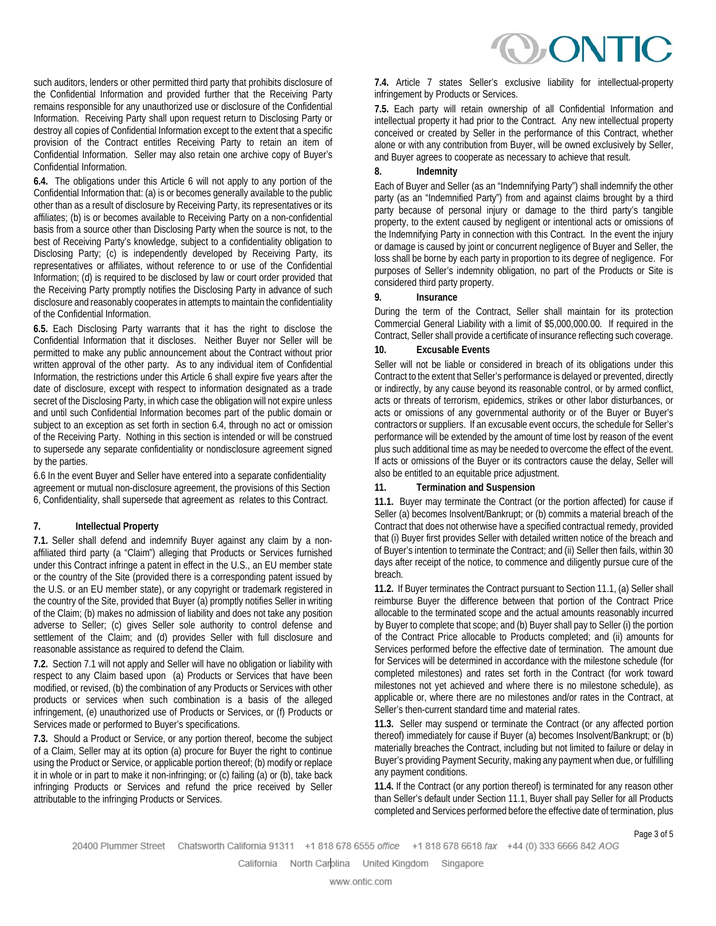such auditors, lenders or other permitted third party that prohibits disclosure of the Confidential Information and provided further that the Receiving Party remains responsible for any unauthorized use or disclosure of the Confidential Information. Receiving Party shall upon request return to Disclosing Party or destroy all copies of Confidential Information except to the extent that a specific provision of the Contract entitles Receiving Party to retain an item of Confidential Information. Seller may also retain one archive copy of Buyer's Confidential Information.

**6.4.** The obligations under this Article 6 will not apply to any portion of the Confidential Information that: (a) is or becomes generally available to the public other than as a result of disclosure by Receiving Party, its representatives or its affiliates; (b) is or becomes available to Receiving Party on a non-confidential basis from a source other than Disclosing Party when the source is not, to the best of Receiving Party's knowledge, subject to a confidentiality obligation to Disclosing Party; (c) is independently developed by Receiving Party, its representatives or affiliates, without reference to or use of the Confidential Information; (d) is required to be disclosed by law or court order provided that the Receiving Party promptly notifies the Disclosing Party in advance of such disclosure and reasonably cooperates in attempts to maintain the confidentiality of the Confidential Information.

**6.5.** Each Disclosing Party warrants that it has the right to disclose the Confidential Information that it discloses. Neither Buyer nor Seller will be permitted to make any public announcement about the Contract without prior written approval of the other party. As to any individual item of Confidential Information, the restrictions under this Article 6 shall expire five years after the date of disclosure, except with respect to information designated as a trade secret of the Disclosing Party, in which case the obligation will not expire unless and until such Confidential Information becomes part of the public domain or subject to an exception as set forth in section 6.4, through no act or omission of the Receiving Party. Nothing in this section is intended or will be construed to supersede any separate confidentiality or nondisclosure agreement signed by the parties.

6.6 In the event Buyer and Seller have entered into a separate confidentiality agreement or mutual non-disclosure agreement, the provisions of this Section 6, Confidentiality, shall supersede that agreement as relates to this Contract.

## **7. Intellectual Property**

**7.1.** Seller shall defend and indemnify Buyer against any claim by a nonaffiliated third party (a "Claim") alleging that Products or Services furnished under this Contract infringe a patent in effect in the U.S., an EU member state or the country of the Site (provided there is a corresponding patent issued by the U.S. or an EU member state), or any copyright or trademark registered in the country of the Site, provided that Buyer (a) promptly notifies Seller in writing of the Claim; (b) makes no admission of liability and does not take any position adverse to Seller; (c) gives Seller sole authority to control defense and settlement of the Claim; and (d) provides Seller with full disclosure and reasonable assistance as required to defend the Claim.

**7.2.** Section 7.1 will not apply and Seller will have no obligation or liability with respect to any Claim based upon (a) Products or Services that have been modified, or revised, (b) the combination of any Products or Services with other products or services when such combination is a basis of the alleged infringement, (e) unauthorized use of Products or Services, or (f) Products or Services made or performed to Buyer's specifications.

**7.3.** Should a Product or Service, or any portion thereof, become the subject of a Claim, Seller may at its option (a) procure for Buyer the right to continue using the Product or Service, or applicable portion thereof; (b) modify or replace it in whole or in part to make it non-infringing; or (c) failing (a) or (b), take back infringing Products or Services and refund the price received by Seller attributable to the infringing Products or Services.

**7.4.** Article 7 states Seller's exclusive liability for intellectual-property infringement by Products or Services.

**7.5.** Each party will retain ownership of all Confidential Information and intellectual property it had prior to the Contract. Any new intellectual property conceived or created by Seller in the performance of this Contract, whether alone or with any contribution from Buyer, will be owned exclusively by Seller, and Buyer agrees to cooperate as necessary to achieve that result.

## **8. Indemnity**

Each of Buyer and Seller (as an "Indemnifying Party") shall indemnify the other party (as an "Indemnified Party") from and against claims brought by a third party because of personal injury or damage to the third party's tangible property, to the extent caused by negligent or intentional acts or omissions of the Indemnifying Party in connection with this Contract. In the event the injury or damage is caused by joint or concurrent negligence of Buyer and Seller, the loss shall be borne by each party in proportion to its degree of negligence. For purposes of Seller's indemnity obligation, no part of the Products or Site is considered third party property.

## **9. Insurance**

During the term of the Contract, Seller shall maintain for its protection Commercial General Liability with a limit of \$5,000,000.00. If required in the Contract, Seller shall provide a certificate of insurance reflecting such coverage.

## **10. Excusable Events**

Seller will not be liable or considered in breach of its obligations under this Contract to the extent that Seller's performance is delayed or prevented, directly or indirectly, by any cause beyond its reasonable control, or by armed conflict, acts or threats of terrorism, epidemics, strikes or other labor disturbances, or acts or omissions of any governmental authority or of the Buyer or Buyer's contractors or suppliers. If an excusable event occurs, the schedule for Seller's performance will be extended by the amount of time lost by reason of the event plus such additional time as may be needed to overcome the effect of the event. If acts or omissions of the Buyer or its contractors cause the delay, Seller will also be entitled to an equitable price adjustment.

## **11. Termination and Suspension**

**11.1.** Buyer may terminate the Contract (or the portion affected) for cause if Seller (a) becomes Insolvent/Bankrupt; or (b) commits a material breach of the Contract that does not otherwise have a specified contractual remedy, provided that (i) Buyer first provides Seller with detailed written notice of the breach and of Buyer's intention to terminate the Contract; and (ii) Seller then fails, within 30 days after receipt of the notice, to commence and diligently pursue cure of the breach.

**11.2.** If Buyer terminates the Contract pursuant to Section 11.1, (a) Seller shall reimburse Buyer the difference between that portion of the Contract Price allocable to the terminated scope and the actual amounts reasonably incurred by Buyer to complete that scope; and (b) Buyer shall pay to Seller (i) the portion of the Contract Price allocable to Products completed; and (ii) amounts for Services performed before the effective date of termination. The amount due for Services will be determined in accordance with the milestone schedule (for completed milestones) and rates set forth in the Contract (for work toward milestones not yet achieved and where there is no milestone schedule), as applicable or, where there are no milestones and/or rates in the Contract, at Seller's then-current standard time and material rates.

**11.3.** Seller may suspend or terminate the Contract (or any affected portion thereof) immediately for cause if Buyer (a) becomes Insolvent/Bankrupt; or (b) materially breaches the Contract, including but not limited to failure or delay in Buyer's providing Payment Security, making any payment when due, or fulfilling any payment conditions.

**11.4.** If the Contract (or any portion thereof) is terminated for any reason other than Seller's default under Section 11.1, Buyer shall pay Seller for all Products completed and Services performed before the effective date of termination, plus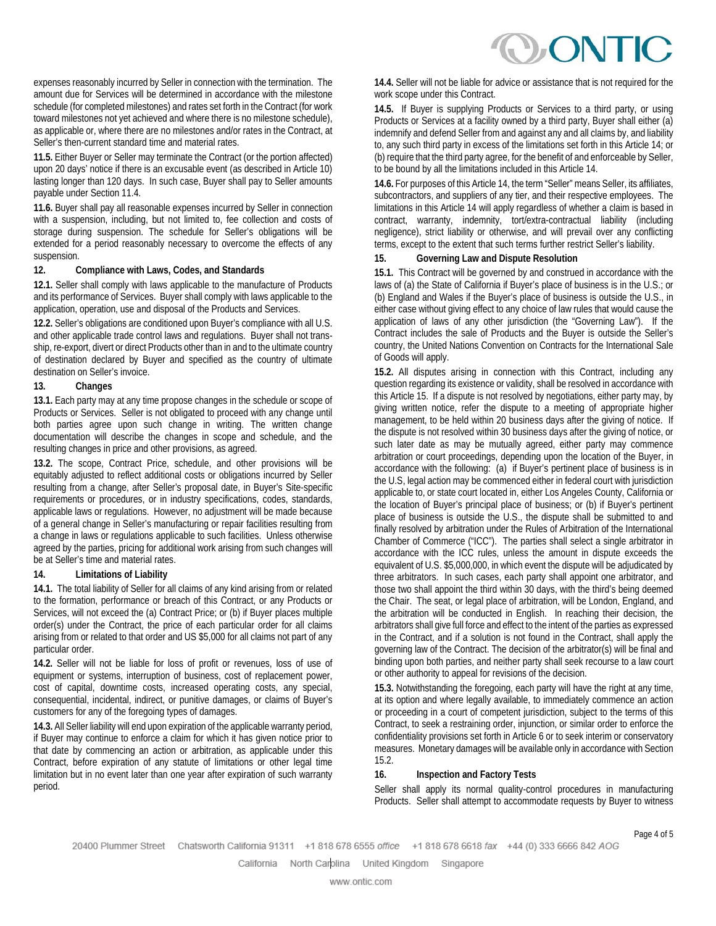expenses reasonably incurred by Seller in connection with the termination. The amount due for Services will be determined in accordance with the milestone schedule (for completed milestones) and rates set forth in the Contract (for work toward milestones not yet achieved and where there is no milestone schedule), as applicable or, where there are no milestones and/or rates in the Contract, at Seller's then-current standard time and material rates.

**11.5.** Either Buyer or Seller may terminate the Contract (or the portion affected) upon 20 days' notice if there is an excusable event (as described in Article 10) lasting longer than 120 days. In such case, Buyer shall pay to Seller amounts payable under Section 11.4.

**11.6.** Buyer shall pay all reasonable expenses incurred by Seller in connection with a suspension, including, but not limited to, fee collection and costs of storage during suspension. The schedule for Seller's obligations will be extended for a period reasonably necessary to overcome the effects of any suspension.

## **12. Compliance with Laws, Codes, and Standards**

**12.1.** Seller shall comply with laws applicable to the manufacture of Products and its performance of Services. Buyer shall comply with laws applicable to the application, operation, use and disposal of the Products and Services.

**12.2.** Seller's obligations are conditioned upon Buyer's compliance with all U.S. and other applicable trade control laws and regulations. Buyer shall not transship, re-export, divert or direct Products other than in and to the ultimate country of destination declared by Buyer and specified as the country of ultimate destination on Seller's invoice.

## **13. Changes**

**13.1.** Each party may at any time propose changes in the schedule or scope of Products or Services. Seller is not obligated to proceed with any change until both parties agree upon such change in writing. The written change documentation will describe the changes in scope and schedule, and the resulting changes in price and other provisions, as agreed.

**13.2.** The scope, Contract Price, schedule, and other provisions will be equitably adjusted to reflect additional costs or obligations incurred by Seller resulting from a change, after Seller's proposal date, in Buyer's Site-specific requirements or procedures, or in industry specifications, codes, standards, applicable laws or regulations. However, no adjustment will be made because of a general change in Seller's manufacturing or repair facilities resulting from a change in laws or regulations applicable to such facilities. Unless otherwise agreed by the parties, pricing for additional work arising from such changes will be at Seller's time and material rates.

## **14. Limitations of Liability**

**14.1.** The total liability of Seller for all claims of any kind arising from or related to the formation, performance or breach of this Contract, or any Products or Services, will not exceed the (a) Contract Price; or (b) if Buyer places multiple order(s) under the Contract, the price of each particular order for all claims arising from or related to that order and US \$5,000 for all claims not part of any particular order.

**14.2.** Seller will not be liable for loss of profit or revenues, loss of use of equipment or systems, interruption of business, cost of replacement power, cost of capital, downtime costs, increased operating costs, any special, consequential, incidental, indirect, or punitive damages, or claims of Buyer's customers for any of the foregoing types of damages.

**14.3.** All Seller liability will end upon expiration of the applicable warranty period, if Buyer may continue to enforce a claim for which it has given notice prior to that date by commencing an action or arbitration, as applicable under this Contract, before expiration of any statute of limitations or other legal time limitation but in no event later than one year after expiration of such warranty period.

**14.4.** Seller will not be liable for advice or assistance that is not required for the work scope under this Contract.

**14.5.** If Buyer is supplying Products or Services to a third party, or using Products or Services at a facility owned by a third party, Buyer shall either (a) indemnify and defend Seller from and against any and all claims by, and liability to, any such third party in excess of the limitations set forth in this Article 14; or (b) require that the third party agree, for the benefit of and enforceable by Seller, to be bound by all the limitations included in this Article 14.

**14.6.** For purposes of this Article 14, the term "Seller" means Seller, its affiliates, subcontractors, and suppliers of any tier, and their respective employees. The limitations in this Article 14 will apply regardless of whether a claim is based in contract, warranty, indemnity, tort/extra-contractual liability (including negligence), strict liability or otherwise, and will prevail over any conflicting terms, except to the extent that such terms further restrict Seller's liability.

## **15. Governing Law and Dispute Resolution**

**15.1.** This Contract will be governed by and construed in accordance with the laws of (a) the State of California if Buyer's place of business is in the U.S.; or (b) England and Wales if the Buyer's place of business is outside the U.S., in either case without giving effect to any choice of law rules that would cause the application of laws of any other jurisdiction (the "Governing Law"). If the Contract includes the sale of Products and the Buyer is outside the Seller's country, the United Nations Convention on Contracts for the International Sale of Goods will apply.

**15.2.** All disputes arising in connection with this Contract, including any question regarding its existence or validity, shall be resolved in accordance with this Article 15. If a dispute is not resolved by negotiations, either party may, by giving written notice, refer the dispute to a meeting of appropriate higher management, to be held within 20 business days after the giving of notice. If the dispute is not resolved within 30 business days after the giving of notice, or such later date as may be mutually agreed, either party may commence arbitration or court proceedings, depending upon the location of the Buyer, in accordance with the following: (a) if Buyer's pertinent place of business is in the U.S, legal action may be commenced either in federal court with jurisdiction applicable to, or state court located in, either Los Angeles County, California or the location of Buyer's principal place of business; or (b) if Buyer's pertinent place of business is outside the U.S., the dispute shall be submitted to and finally resolved by arbitration under the Rules of Arbitration of the International Chamber of Commerce ("ICC"). The parties shall select a single arbitrator in accordance with the ICC rules, unless the amount in dispute exceeds the equivalent of U.S. \$5,000,000, in which event the dispute will be adjudicated by three arbitrators. In such cases, each party shall appoint one arbitrator, and those two shall appoint the third within 30 days, with the third's being deemed the Chair. The seat, or legal place of arbitration, will be London, England, and the arbitration will be conducted in English. In reaching their decision, the arbitrators shall give full force and effect to the intent of the parties as expressed in the Contract, and if a solution is not found in the Contract, shall apply the governing law of the Contract. The decision of the arbitrator(s) will be final and binding upon both parties, and neither party shall seek recourse to a law court or other authority to appeal for revisions of the decision.

**15.3.** Notwithstanding the foregoing, each party will have the right at any time, at its option and where legally available, to immediately commence an action or proceeding in a court of competent jurisdiction, subject to the terms of this Contract, to seek a restraining order, injunction, or similar order to enforce the confidentiality provisions set forth in Article 6 or to seek interim or conservatory measures. Monetary damages will be available only in accordance with Section 15.2.

## **16. Inspection and Factory Tests**

Seller shall apply its normal quality-control procedures in manufacturing Products. Seller shall attempt to accommodate requests by Buyer to witness

Page 4 of 5